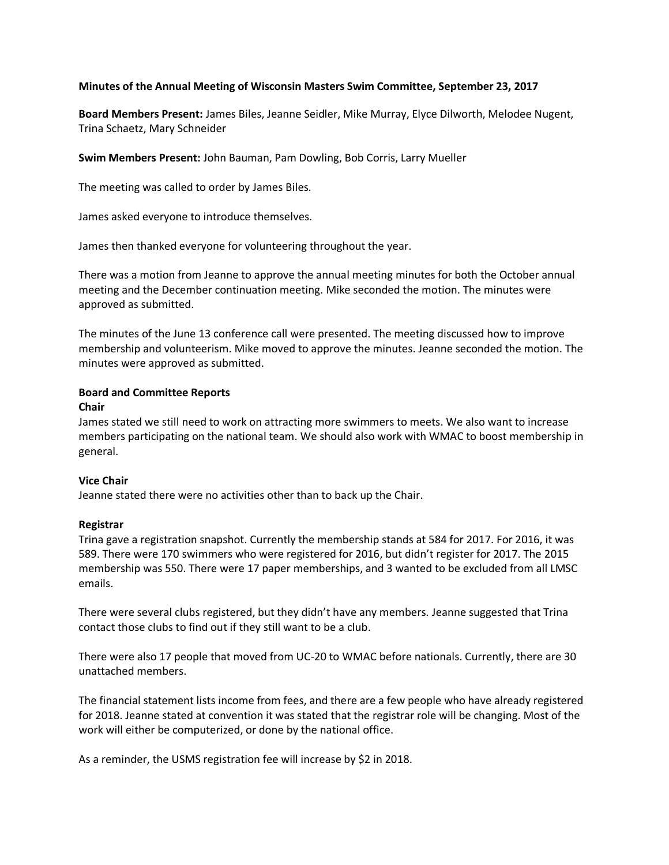## **Minutes of the Annual Meeting of Wisconsin Masters Swim Committee, September 23, 2017**

**Board Members Present:** James Biles, Jeanne Seidler, Mike Murray, Elyce Dilworth, Melodee Nugent, Trina Schaetz, Mary Schneider

**Swim Members Present:** John Bauman, Pam Dowling, Bob Corris, Larry Mueller

The meeting was called to order by James Biles.

James asked everyone to introduce themselves.

James then thanked everyone for volunteering throughout the year.

There was a motion from Jeanne to approve the annual meeting minutes for both the October annual meeting and the December continuation meeting. Mike seconded the motion. The minutes were approved as submitted.

The minutes of the June 13 conference call were presented. The meeting discussed how to improve membership and volunteerism. Mike moved to approve the minutes. Jeanne seconded the motion. The minutes were approved as submitted.

## **Board and Committee Reports**

### **Chair**

James stated we still need to work on attracting more swimmers to meets. We also want to increase members participating on the national team. We should also work with WMAC to boost membership in general.

# **Vice Chair**

Jeanne stated there were no activities other than to back up the Chair.

# **Registrar**

Trina gave a registration snapshot. Currently the membership stands at 584 for 2017. For 2016, it was 589. There were 170 swimmers who were registered for 2016, but didn't register for 2017. The 2015 membership was 550. There were 17 paper memberships, and 3 wanted to be excluded from all LMSC emails.

There were several clubs registered, but they didn't have any members. Jeanne suggested that Trina contact those clubs to find out if they still want to be a club.

There were also 17 people that moved from UC-20 to WMAC before nationals. Currently, there are 30 unattached members.

The financial statement lists income from fees, and there are a few people who have already registered for 2018. Jeanne stated at convention it was stated that the registrar role will be changing. Most of the work will either be computerized, or done by the national office.

As a reminder, the USMS registration fee will increase by \$2 in 2018.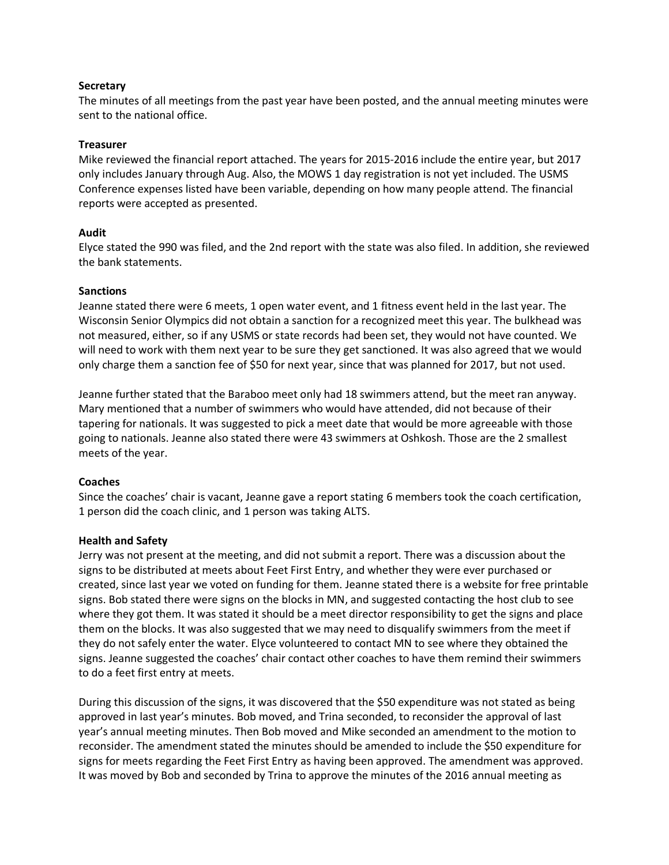### **Secretary**

The minutes of all meetings from the past year have been posted, and the annual meeting minutes were sent to the national office.

### **Treasurer**

Mike reviewed the financial report attached. The years for 2015-2016 include the entire year, but 2017 only includes January through Aug. Also, the MOWS 1 day registration is not yet included. The USMS Conference expenses listed have been variable, depending on how many people attend. The financial reports were accepted as presented.

## **Audit**

Elyce stated the 990 was filed, and the 2nd report with the state was also filed. In addition, she reviewed the bank statements.

## **Sanctions**

Jeanne stated there were 6 meets, 1 open water event, and 1 fitness event held in the last year. The Wisconsin Senior Olympics did not obtain a sanction for a recognized meet this year. The bulkhead was not measured, either, so if any USMS or state records had been set, they would not have counted. We will need to work with them next year to be sure they get sanctioned. It was also agreed that we would only charge them a sanction fee of \$50 for next year, since that was planned for 2017, but not used.

Jeanne further stated that the Baraboo meet only had 18 swimmers attend, but the meet ran anyway. Mary mentioned that a number of swimmers who would have attended, did not because of their tapering for nationals. It was suggested to pick a meet date that would be more agreeable with those going to nationals. Jeanne also stated there were 43 swimmers at Oshkosh. Those are the 2 smallest meets of the year.

### **Coaches**

Since the coaches' chair is vacant, Jeanne gave a report stating 6 members took the coach certification, 1 person did the coach clinic, and 1 person was taking ALTS.

### **Health and Safety**

Jerry was not present at the meeting, and did not submit a report. There was a discussion about the signs to be distributed at meets about Feet First Entry, and whether they were ever purchased or created, since last year we voted on funding for them. Jeanne stated there is a website for free printable signs. Bob stated there were signs on the blocks in MN, and suggested contacting the host club to see where they got them. It was stated it should be a meet director responsibility to get the signs and place them on the blocks. It was also suggested that we may need to disqualify swimmers from the meet if they do not safely enter the water. Elyce volunteered to contact MN to see where they obtained the signs. Jeanne suggested the coaches' chair contact other coaches to have them remind their swimmers to do a feet first entry at meets.

During this discussion of the signs, it was discovered that the \$50 expenditure was not stated as being approved in last year's minutes. Bob moved, and Trina seconded, to reconsider the approval of last year's annual meeting minutes. Then Bob moved and Mike seconded an amendment to the motion to reconsider. The amendment stated the minutes should be amended to include the \$50 expenditure for signs for meets regarding the Feet First Entry as having been approved. The amendment was approved. It was moved by Bob and seconded by Trina to approve the minutes of the 2016 annual meeting as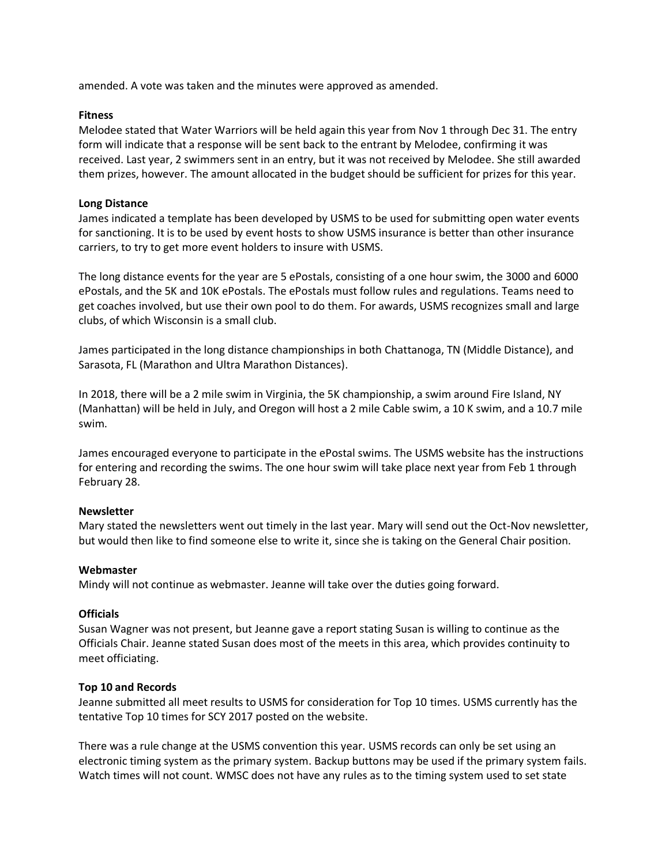amended. A vote was taken and the minutes were approved as amended.

## **Fitness**

Melodee stated that Water Warriors will be held again this year from Nov 1 through Dec 31. The entry form will indicate that a response will be sent back to the entrant by Melodee, confirming it was received. Last year, 2 swimmers sent in an entry, but it was not received by Melodee. She still awarded them prizes, however. The amount allocated in the budget should be sufficient for prizes for this year.

## **Long Distance**

James indicated a template has been developed by USMS to be used for submitting open water events for sanctioning. It is to be used by event hosts to show USMS insurance is better than other insurance carriers, to try to get more event holders to insure with USMS.

The long distance events for the year are 5 ePostals, consisting of a one hour swim, the 3000 and 6000 ePostals, and the 5K and 10K ePostals. The ePostals must follow rules and regulations. Teams need to get coaches involved, but use their own pool to do them. For awards, USMS recognizes small and large clubs, of which Wisconsin is a small club.

James participated in the long distance championships in both Chattanoga, TN (Middle Distance), and Sarasota, FL (Marathon and Ultra Marathon Distances).

In 2018, there will be a 2 mile swim in Virginia, the 5K championship, a swim around Fire Island, NY (Manhattan) will be held in July, and Oregon will host a 2 mile Cable swim, a 10 K swim, and a 10.7 mile swim.

James encouraged everyone to participate in the ePostal swims. The USMS website has the instructions for entering and recording the swims. The one hour swim will take place next year from Feb 1 through February 28.

# **Newsletter**

Mary stated the newsletters went out timely in the last year. Mary will send out the Oct-Nov newsletter, but would then like to find someone else to write it, since she is taking on the General Chair position.

# **Webmaster**

Mindy will not continue as webmaster. Jeanne will take over the duties going forward.

# **Officials**

Susan Wagner was not present, but Jeanne gave a report stating Susan is willing to continue as the Officials Chair. Jeanne stated Susan does most of the meets in this area, which provides continuity to meet officiating.

### **Top 10 and Records**

Jeanne submitted all meet results to USMS for consideration for Top 10 times. USMS currently has the tentative Top 10 times for SCY 2017 posted on the website.

There was a rule change at the USMS convention this year. USMS records can only be set using an electronic timing system as the primary system. Backup buttons may be used if the primary system fails. Watch times will not count. WMSC does not have any rules as to the timing system used to set state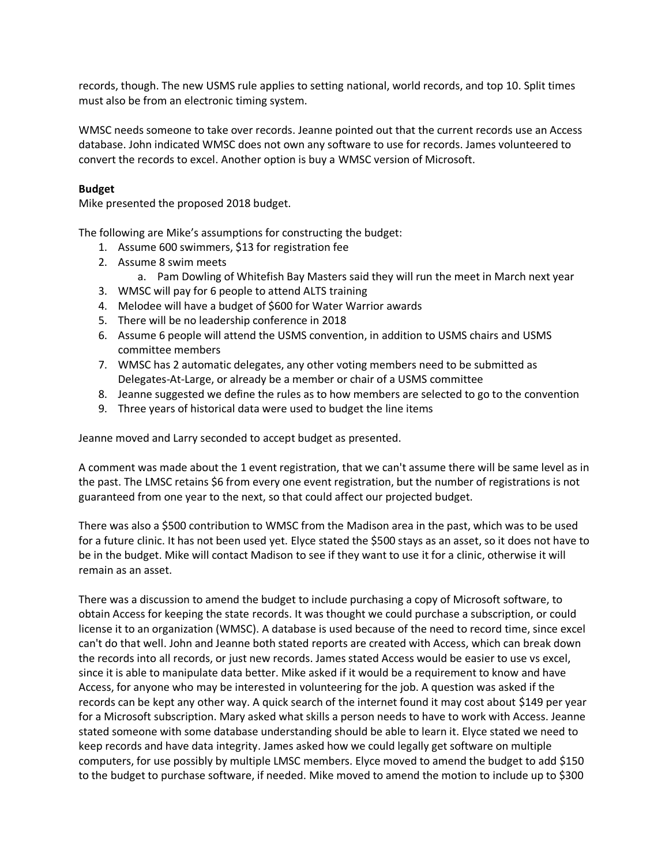records, though. The new USMS rule applies to setting national, world records, and top 10. Split times must also be from an electronic timing system.

WMSC needs someone to take over records. Jeanne pointed out that the current records use an Access database. John indicated WMSC does not own any software to use for records. James volunteered to convert the records to excel. Another option is buy a WMSC version of Microsoft.

## **Budget**

Mike presented the proposed 2018 budget.

The following are Mike's assumptions for constructing the budget:

- 1. Assume 600 swimmers, \$13 for registration fee
- 2. Assume 8 swim meets
	- a. Pam Dowling of Whitefish Bay Masters said they will run the meet in March next year
- 3. WMSC will pay for 6 people to attend ALTS training
- 4. Melodee will have a budget of \$600 for Water Warrior awards
- 5. There will be no leadership conference in 2018
- 6. Assume 6 people will attend the USMS convention, in addition to USMS chairs and USMS committee members
- 7. WMSC has 2 automatic delegates, any other voting members need to be submitted as Delegates-At-Large, or already be a member or chair of a USMS committee
- 8. Jeanne suggested we define the rules as to how members are selected to go to the convention
- 9. Three years of historical data were used to budget the line items

Jeanne moved and Larry seconded to accept budget as presented.

A comment was made about the 1 event registration, that we can't assume there will be same level as in the past. The LMSC retains \$6 from every one event registration, but the number of registrations is not guaranteed from one year to the next, so that could affect our projected budget.

There was also a \$500 contribution to WMSC from the Madison area in the past, which was to be used for a future clinic. It has not been used yet. Elyce stated the \$500 stays as an asset, so it does not have to be in the budget. Mike will contact Madison to see if they want to use it for a clinic, otherwise it will remain as an asset.

There was a discussion to amend the budget to include purchasing a copy of Microsoft software, to obtain Access for keeping the state records. It was thought we could purchase a subscription, or could license it to an organization (WMSC). A database is used because of the need to record time, since excel can't do that well. John and Jeanne both stated reports are created with Access, which can break down the records into all records, or just new records. James stated Access would be easier to use vs excel, since it is able to manipulate data better. Mike asked if it would be a requirement to know and have Access, for anyone who may be interested in volunteering for the job. A question was asked if the records can be kept any other way. A quick search of the internet found it may cost about \$149 per year for a Microsoft subscription. Mary asked what skills a person needs to have to work with Access. Jeanne stated someone with some database understanding should be able to learn it. Elyce stated we need to keep records and have data integrity. James asked how we could legally get software on multiple computers, for use possibly by multiple LMSC members. Elyce moved to amend the budget to add \$150 to the budget to purchase software, if needed. Mike moved to amend the motion to include up to \$300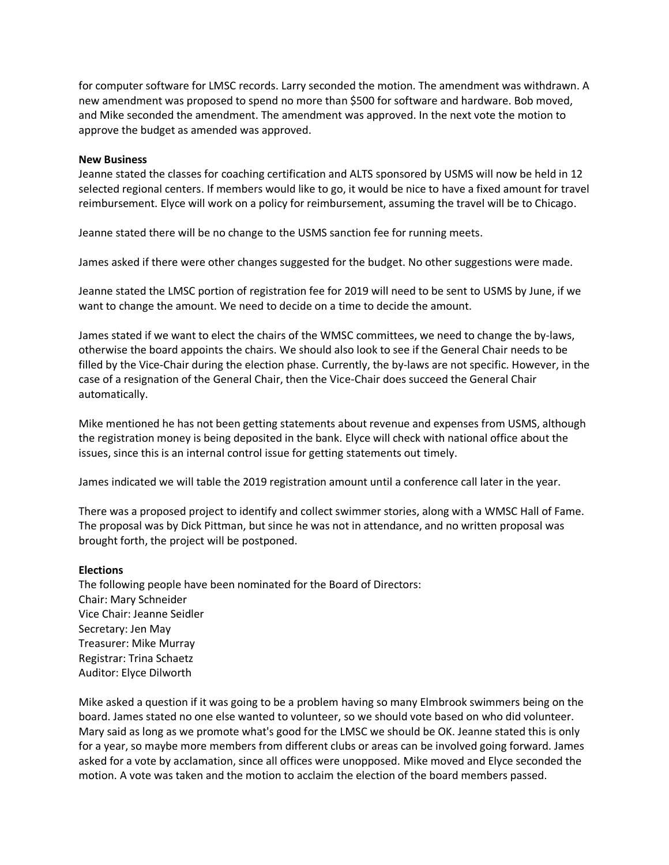for computer software for LMSC records. Larry seconded the motion. The amendment was withdrawn. A new amendment was proposed to spend no more than \$500 for software and hardware. Bob moved, and Mike seconded the amendment. The amendment was approved. In the next vote the motion to approve the budget as amended was approved.

### **New Business**

Jeanne stated the classes for coaching certification and ALTS sponsored by USMS will now be held in 12 selected regional centers. If members would like to go, it would be nice to have a fixed amount for travel reimbursement. Elyce will work on a policy for reimbursement, assuming the travel will be to Chicago.

Jeanne stated there will be no change to the USMS sanction fee for running meets.

James asked if there were other changes suggested for the budget. No other suggestions were made.

Jeanne stated the LMSC portion of registration fee for 2019 will need to be sent to USMS by June, if we want to change the amount. We need to decide on a time to decide the amount.

James stated if we want to elect the chairs of the WMSC committees, we need to change the by-laws, otherwise the board appoints the chairs. We should also look to see if the General Chair needs to be filled by the Vice-Chair during the election phase. Currently, the by-laws are not specific. However, in the case of a resignation of the General Chair, then the Vice-Chair does succeed the General Chair automatically.

Mike mentioned he has not been getting statements about revenue and expenses from USMS, although the registration money is being deposited in the bank. Elyce will check with national office about the issues, since this is an internal control issue for getting statements out timely.

James indicated we will table the 2019 registration amount until a conference call later in the year.

There was a proposed project to identify and collect swimmer stories, along with a WMSC Hall of Fame. The proposal was by Dick Pittman, but since he was not in attendance, and no written proposal was brought forth, the project will be postponed.

### **Elections**

The following people have been nominated for the Board of Directors: Chair: Mary Schneider Vice Chair: Jeanne Seidler Secretary: Jen May Treasurer: Mike Murray Registrar: Trina Schaetz Auditor: Elyce Dilworth

Mike asked a question if it was going to be a problem having so many Elmbrook swimmers being on the board. James stated no one else wanted to volunteer, so we should vote based on who did volunteer. Mary said as long as we promote what's good for the LMSC we should be OK. Jeanne stated this is only for a year, so maybe more members from different clubs or areas can be involved going forward. James asked for a vote by acclamation, since all offices were unopposed. Mike moved and Elyce seconded the motion. A vote was taken and the motion to acclaim the election of the board members passed.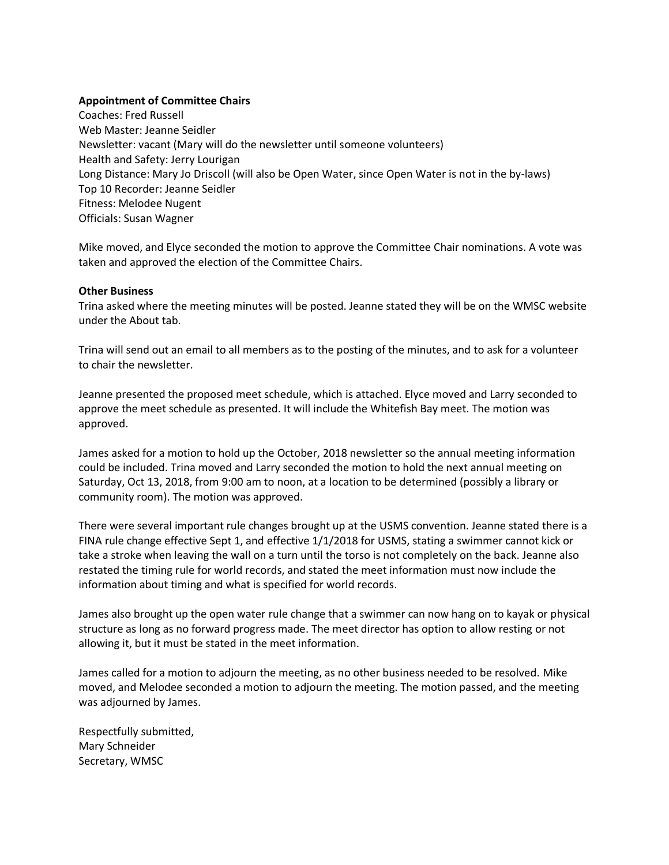## **Appointment of Committee Chairs**

Coaches: Fred Russell Web Master: Jeanne Seidler Newsletter: vacant (Mary will do the newsletter until someone volunteers) Health and Safety: Jerry Lourigan Long Distance: Mary Jo Driscoll (will also be Open Water, since Open Water is not in the by-laws) Top 10 Recorder: Jeanne Seidler Fitness: Melodee Nugent Officials: Susan Wagner

Mike moved, and Elyce seconded the motion to approve the Committee Chair nominations. A vote was taken and approved the election of the Committee Chairs.

### **Other Business**

Trina asked where the meeting minutes will be posted. Jeanne stated they will be on the WMSC website under the About tab.

Trina will send out an email to all members as to the posting of the minutes, and to ask for a volunteer to chair the newsletter.

Jeanne presented the proposed meet schedule, which is attached. Elyce moved and Larry seconded to approve the meet schedule as presented. It will include the Whitefish Bay meet. The motion was approved.

James asked for a motion to hold up the October, 2018 newsletter so the annual meeting information could be included. Trina moved and Larry seconded the motion to hold the next annual meeting on Saturday, Oct 13, 2018, from 9:00 am to noon, at a location to be determined (possibly a library or community room). The motion was approved.

There were several important rule changes brought up at the USMS convention. Jeanne stated there is a FINA rule change effective Sept 1, and effective 1/1/2018 for USMS, stating a swimmer cannot kick or take a stroke when leaving the wall on a turn until the torso is not completely on the back. Jeanne also restated the timing rule for world records, and stated the meet information must now include the information about timing and what is specified for world records.

James also brought up the open water rule change that a swimmer can now hang on to kayak or physical structure as long as no forward progress made. The meet director has option to allow resting or not allowing it, but it must be stated in the meet information.

James called for a motion to adjourn the meeting, as no other business needed to be resolved. Mike moved, and Melodee seconded a motion to adjourn the meeting. The motion passed, and the meeting was adjourned by James.

Respectfully submitted, Mary Schneider Secretary, WMSC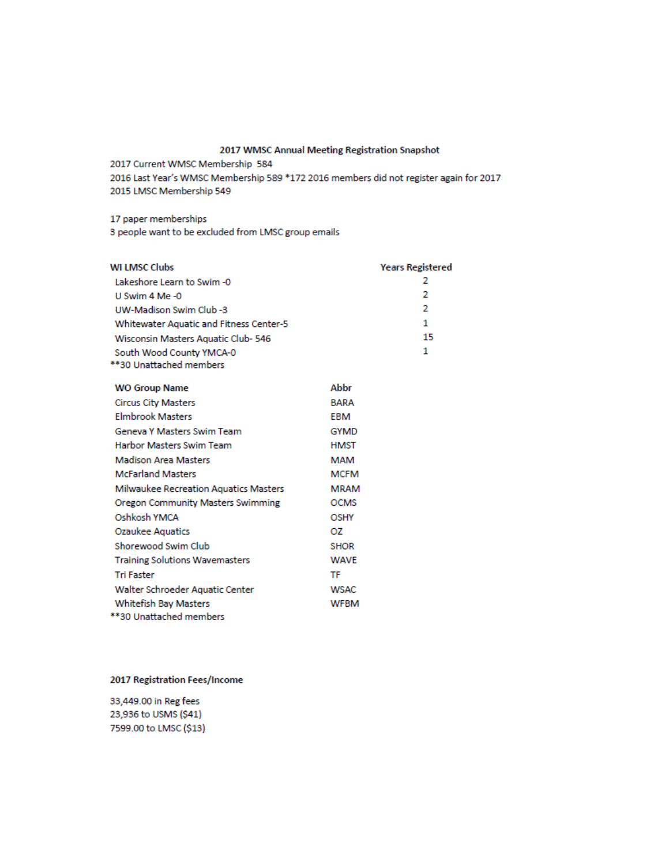#### 2017 WMSC Annual Meeting Registration Snapshot

2017 Current WMSC Membership 584

2016 Last Year's WMSC Membership 589 \*172 2016 members did not register again for 2017 2015 LMSC Membership 549

17 paper memberships

3 people want to be excluded from LMSC group emails

| <b>WI LMSC Clubs</b>                           |             | <b>Years Registered</b> |
|------------------------------------------------|-------------|-------------------------|
| Lakeshore Learn to Swim-0                      |             | 2                       |
| U Swim 4 Me-0                                  |             | 2                       |
| UW-Madison Swim Club -3                        |             | 2                       |
| <b>Whitewater Aquatic and Fitness Center-5</b> |             | 1                       |
| Wisconsin Masters Aquatic Club- 546            |             | 15                      |
| South Wood County YMCA-0                       |             | 1                       |
| **30 Unattached members                        |             |                         |
| <b>WO Group Name</b>                           | Abbr        |                         |
| <b>Circus City Masters</b>                     | <b>BARA</b> |                         |
| <b>Flmbrook Masters</b>                        | <b>EBM</b>  |                         |
| <b>Geneva Y Masters Swim Team</b>              | <b>GYMD</b> |                         |
| <b>Harbor Masters Swim Team</b>                | <b>HMST</b> |                         |
| <b>Madison Area Masters</b>                    | MAM         |                         |
| <b>McFarland Masters</b>                       | <b>MCFM</b> |                         |
| <b>Milwaukee Recreation Aquatics Masters</b>   | <b>MRAM</b> |                         |
| Oregon Community Masters Swimming              | <b>OCMS</b> |                         |
| Oshkosh YMCA                                   | OSHY        |                         |
| Ozaukee Aquatics                               | OZ.         |                         |
| Shorewood Swim Club                            | <b>SHOR</b> |                         |
| <b>Training Solutions Wavemasters</b>          | <b>WAVE</b> |                         |
| <b>Tri Faster</b>                              | TF          |                         |
| Walter Schroeder Aquatic Center                | <b>WSAC</b> |                         |
| <b>Whitefish Bay Masters</b>                   | <b>WFBM</b> |                         |
| **30 Unattached members                        |             |                         |

## 2017 Registration Fees/Income

33,449.00 in Reg fees 23,936 to USMS (\$41) 7599.00 to LMSC (\$13)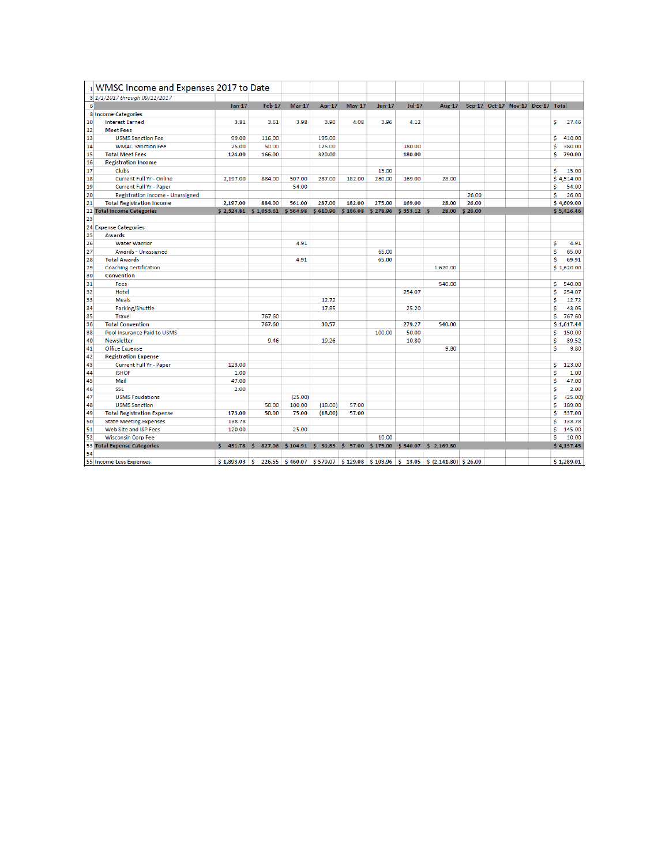|    | 1 WMSC Income and Expenses 2017 to Date |          |                         |               |               |               |               |              |                                                                                               |         |                                   |    |            |
|----|-----------------------------------------|----------|-------------------------|---------------|---------------|---------------|---------------|--------------|-----------------------------------------------------------------------------------------------|---------|-----------------------------------|----|------------|
|    | 3 1/1/2017 through 09/11/2017           |          |                         |               |               |               |               |              |                                                                                               |         |                                   |    |            |
| 6  |                                         | $Jan-17$ | <b>Feb-17</b>           | <b>Mar-17</b> | <b>Apr-17</b> | <b>May-17</b> | <b>Jun-17</b> | $Jul-17$     | Aug-17                                                                                        |         | Sep-17 Oct-17 Nov-17 Dec-17 Total |    |            |
|    | <b>8 Income Categories</b>              |          |                         |               |               |               |               |              |                                                                                               |         |                                   |    |            |
| 10 | <b>Interest Earned</b>                  | 3.81     | 3.61                    | 3.98          | 3.90          | 4.08          | 3.96          | 4.12         |                                                                                               |         |                                   | \$ | 27.46      |
| 12 | <b>Meet Fees</b>                        |          |                         |               |               |               |               |              |                                                                                               |         |                                   |    |            |
| 13 | <b>USMS Sanction Fee</b>                | 99.00    | 116.00                  |               | 195.00        |               |               |              |                                                                                               |         |                                   | s  | 410.00     |
| 14 | <b>WMAC Sanction Fee</b>                | 25.00    | 50.00                   |               | 125.00        |               |               | 180.00       |                                                                                               |         |                                   | S  | 380.00     |
| 15 | <b>Total Meet Fees</b>                  | 124.00   | 166.00                  |               | 320.00        |               |               | 180.00       |                                                                                               |         |                                   | S  | 790.00     |
| 16 | <b>Registration Income</b>              |          |                         |               |               |               |               |              |                                                                                               |         |                                   |    |            |
| 17 | <b>Clubs</b>                            |          |                         |               |               |               | 15.00         |              |                                                                                               |         |                                   | s  | 15.00      |
| 18 | <b>Current Full Yr - Online</b>         | 2.197.00 | 884.00                  | 507.00        | 287.00        | 182.00        | 260.00        | 169.00       | 28.00                                                                                         |         |                                   |    | S 4.514.00 |
| 19 | <b>Current Full Yr - Paper</b>          |          |                         | 54.00         |               |               |               |              |                                                                                               |         |                                   | Ś  | 54.00      |
| 20 | Registration Income - Unassigned        |          |                         |               |               |               |               |              |                                                                                               | 26.00   |                                   | \$ | 26.00      |
| 21 | <b>Total Registration Income</b>        | 2.197.00 | 884.00                  | 561.00        | 287.00        | 182.00        | 275.00        | 169.00       | 28.00                                                                                         | 26.00   |                                   |    | \$4,609.00 |
|    | 22 Total Income Categories              |          | $$2,324.81$ $$1,053.61$ | \$564.98      | \$610.90      | \$186.08      | \$278.96      | $$353.12$ \$ | 28.00                                                                                         | \$26.00 |                                   |    | \$5,426.46 |
| 23 |                                         |          |                         |               |               |               |               |              |                                                                                               |         |                                   |    |            |
|    | 24 Expense Categories                   |          |                         |               |               |               |               |              |                                                                                               |         |                                   |    |            |
| 25 | <b>Awards</b>                           |          |                         |               |               |               |               |              |                                                                                               |         |                                   |    |            |
| 26 | <b>Water Warrior</b>                    |          |                         | 4.91          |               |               |               |              |                                                                                               |         |                                   | s  | 4.91       |
| 27 | Awards - Unassigned                     |          |                         |               |               |               | 65.00         |              |                                                                                               |         |                                   | s  | 65.00      |
| 28 | <b>Total Awards</b>                     |          |                         | 4.91          |               |               | 65.00         |              |                                                                                               |         |                                   | \$ | 69.91      |
| 29 | <b>Coaching Certification</b>           |          |                         |               |               |               |               |              | 1,620.00                                                                                      |         |                                   |    | \$1,620.00 |
| 30 | Convention                              |          |                         |               |               |               |               |              |                                                                                               |         |                                   |    |            |
| 31 | Fees                                    |          |                         |               |               |               |               |              | 540.00                                                                                        |         |                                   | s  | 540.00     |
| 32 | Hotel                                   |          |                         |               |               |               |               | 254.07       |                                                                                               |         |                                   | \$ | 254.07     |
| 33 | <b>Meals</b>                            |          |                         |               | 12.72         |               |               |              |                                                                                               |         |                                   | s  | 12.72      |
| 34 | Parking/Shuttle                         |          |                         |               | 17.85         |               |               | 25.20        |                                                                                               |         |                                   | \$ | 43.05      |
| 35 | <b>Travel</b>                           |          | 767.60                  |               |               |               |               |              |                                                                                               |         |                                   | \$ | 767.60     |
| 36 | <b>Total Convention</b>                 |          | 767.60                  |               | 30.57         |               |               | 279.27       | 540.00                                                                                        |         |                                   |    | \$1,617.44 |
| 38 | Pool Insurance Paid to USMS             |          |                         |               |               |               | 100.00        | 50.00        |                                                                                               |         |                                   | S  | 150.00     |
| 40 | Newsletter                              |          | 9.46                    |               | 19.26         |               |               | 10.80        |                                                                                               |         |                                   | s  | 39.52      |
| 41 | <b>Office Expense</b>                   |          |                         |               |               |               |               |              | 9.80                                                                                          |         |                                   | \$ | 9.80       |
| 42 | <b>Registration Expense</b>             |          |                         |               |               |               |               |              |                                                                                               |         |                                   |    |            |
| 43 | <b>Current Full Yr - Paper</b>          | 123.00   |                         |               |               |               |               |              |                                                                                               |         |                                   | \$ | 123.00     |
| 44 | <b>ISHOF</b>                            | 1.00     |                         |               |               |               |               |              |                                                                                               |         |                                   | s  | 1.00       |
| 45 | Mail                                    | 47.00    |                         |               |               |               |               |              |                                                                                               |         |                                   | \$ | 47.00      |
| 46 | <b>SSL</b>                              | 2.00     |                         |               |               |               |               |              |                                                                                               |         |                                   | \$ | 2.00       |
| 47 | <b>USMS Foudations</b>                  |          |                         | (25.00)       |               |               |               |              |                                                                                               |         |                                   | s  | (25.00)    |
| 48 | <b>USMS Sanction</b>                    |          | 50.00                   | 100.00        | (18.00)       | 57.00         |               |              |                                                                                               |         |                                   | \$ | 189.00     |
| 49 | <b>Total Registration Expense</b>       | 173.00   | 50.00                   | 75.00         | (18.00)       | 57.00         |               |              |                                                                                               |         |                                   | S  | 337.00     |
| 50 | <b>State Meeting Expenses</b>           | 138.78   |                         |               |               |               |               |              |                                                                                               |         |                                   | \$ | 138.78     |
| 51 | Web Site and ISP Fees                   | 120.00   |                         | 25.00         |               |               |               |              |                                                                                               |         |                                   | Ś  | 145.00     |
| 52 | <b>Wisconsin Corp Fee</b>               |          |                         |               |               |               | 10.00         |              |                                                                                               |         |                                   | S  | 10.00      |
|    | <b>53 Total Expense Categories</b>      | \$431.78 | S.                      |               |               |               |               |              | 827.06 \$104.91 \$31.83 \$57.00 \$175.00 \$340.07 \$2,169.80                                  |         |                                   |    | \$4,137.45 |
| 54 |                                         |          |                         |               |               |               |               |              |                                                                                               |         |                                   |    |            |
|    | 55 Income Less Expenses                 |          |                         |               |               |               |               |              | $$1,893.03$ $$226.55$ $$460.07$ $$579.07$ $$129.08$ $$103.96$ $$13.05$ $$(2,141.80)$ $$26.00$ |         |                                   |    | \$1,289.01 |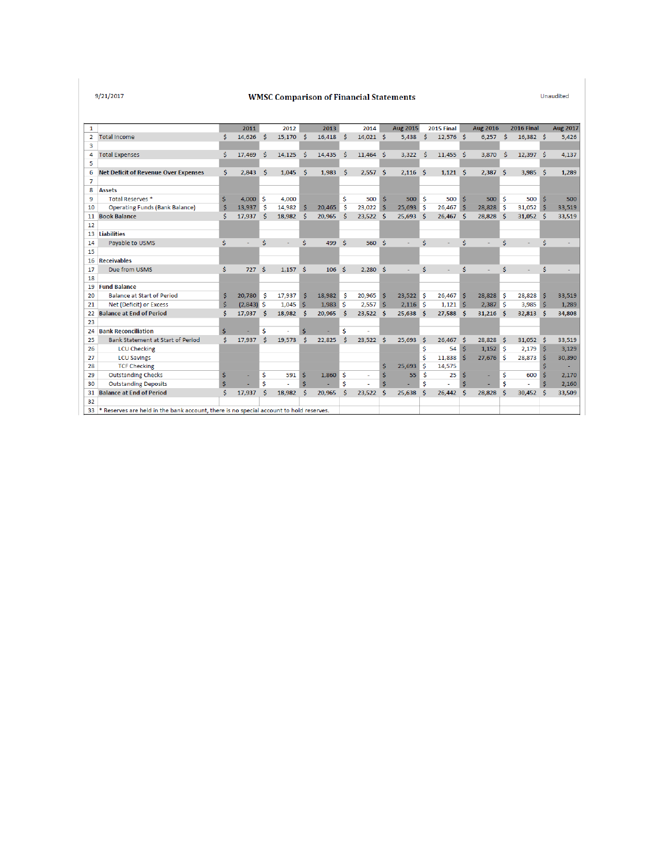$9/21/2017$ 

#### **WMSC Comparison of Financial Statements**

Unaudited

| 1              |                                                                                        |    | 2011         |   | 2012   |      | 2013   |    | 2014           |          | <b>Aug 2015</b>  |     | 2015 Final  |     | <b>Aug 2016</b> |    | <b>2016 Final</b> |     | <b>Aug 2017</b> |
|----------------|----------------------------------------------------------------------------------------|----|--------------|---|--------|------|--------|----|----------------|----------|------------------|-----|-------------|-----|-----------------|----|-------------------|-----|-----------------|
| $\overline{2}$ | <b>Total Income</b>                                                                    | Ś. | 14,626       | Ŝ | 15,170 | Ŝ    | 16,418 | Ŝ  | $14,021$ \$    |          | 5,438            | Ŝ.  | $12,576$ \$ |     | $6,257$ \$      |    | $16,382$ \$       |     | 5,426           |
| 3              |                                                                                        |    |              |   |        |      |        |    |                |          |                  |     |             |     |                 |    |                   |     |                 |
| 4              | <b>Total Expenses</b>                                                                  | Ś  | 17,469       | Ŝ | 14,125 | Ś    | 14,435 | \$ | $11,464$ \$    |          | 3,322            | -Ś  | $11,455$ \$ |     | 3,870           | Ŝ  | $12,397$ \$       |     | 4,137           |
| 5              |                                                                                        |    |              |   |        |      |        |    |                |          |                  |     |             |     |                 |    |                   |     |                 |
| 6              | <b>Net Deficit of Revenue Over Expenses</b>                                            | Ś. | 2,843        | Ŝ | 1,045  | Ŝ    | 1,983  | Ŝ  | $2,557$ \$     |          | $2,116$ \$       |     | $1,121$ \$  |     | 2,387           | Ŝ. | $3,985$ \$        |     | 1,289           |
| $\overline{7}$ |                                                                                        |    |              |   |        |      |        |    |                |          |                  |     |             |     |                 |    |                   |     |                 |
| 8              | <b>Assets</b>                                                                          |    |              |   |        |      |        |    |                |          |                  |     |             |     |                 |    |                   |     |                 |
| 9              | Total Reserves <sup>*</sup>                                                            | Ś  | 4.000S       |   | 4,000  |      |        | Ś  | 500            |          | $500$ $\sqrt{5}$ |     | 500         | 'S  | 500             | -Ś | 500               |     | 500             |
| 10             | <b>Operating Funds (Bank Balance)</b>                                                  | Ś  | 13,937       | Ŝ | 14,982 | Ŝ    | 20,465 | Ŝ  | 23,022         | Ŝ        | $25,693$ \$      |     | 26,467      | ∣ Ś | $28,828$ \$     |    | $31,052$ \$       |     | 33,519          |
| 11             | <b>Book Balance</b>                                                                    | Ś  | 17,937       | Ŝ | 18.982 | Ŝ    | 20,965 | Ŝ  | 23,522         | - \$     | 25,693           | - Ś | 26,467      | Ŝ   | 28,828          | -Ŝ | $31,052$ \$       |     | 33,519          |
| 12             |                                                                                        |    |              |   |        |      |        |    |                |          |                  |     |             |     |                 |    |                   |     |                 |
| 13             | <b>Liabilities</b>                                                                     |    |              |   |        |      |        |    |                |          |                  |     |             |     |                 |    |                   |     |                 |
| 14             | Payable to USMS                                                                        | \$ | ÷            | Ś | ÷.     | Ś    | 499    | Ŝ  | 560            | - Ś      |                  | Š.  |             | Ś   |                 | Ś. |                   | Ŝ   |                 |
| 15             |                                                                                        |    |              |   |        |      |        |    |                |          |                  |     |             |     |                 |    |                   |     |                 |
| 16             | <b>Receivables</b>                                                                     |    |              |   |        |      |        |    |                |          |                  |     |             |     |                 |    |                   |     |                 |
| 17             | Due from USMS                                                                          | Ś  | 727          | Ŝ | 1.157  | - Ś  | 106    | Ŝ  | 2.280          | - Š      | ٠                | Ś   | ٠           | Ś   |                 | Ś  | ٠                 | Ś   |                 |
| 18             |                                                                                        |    |              |   |        |      |        |    |                |          |                  |     |             |     |                 |    |                   |     |                 |
| 19             | <b>Fund Balance</b>                                                                    |    |              |   |        |      |        |    |                |          |                  |     |             |     |                 |    |                   |     |                 |
| 20             | <b>Balance at Start of Period</b>                                                      | Ś  | 20,780       | Ŝ | 17,937 | Ŝ    | 18,982 | Ŝ  | 20,965         | Ŝ        | $23.522$ \$      |     | 26,467      | -S  | 28,828 \$       |    | 28,828            | -S  | 33,519          |
| 21             | Net (Deficit) or Excess                                                                | S  | $(2,843)$ \$ |   | 1,045  | ∣ \$ | 1,983  | -Ś | 2,557          | -S       | $2,116$ \$       |     | 1,121       | -Ŝ  | 2,387           | -Ś | 3,985             | l S | 1,289           |
| 22             | <b>Balance at End of Period</b>                                                        | Ś  | 17,937       | Ŝ | 18.982 | Ŝ    | 20,965 | Ŝ  | 23,522         | Ŝ        | 25,638           | Ŝ   | 27,588      | Ŝ   | 31,216          | Ŝ  | 32,813            | -S  | 34,808          |
| 23             |                                                                                        |    |              |   |        |      |        |    |                |          |                  |     |             |     |                 |    |                   |     |                 |
| 24             | <b>Bank Reconciliation</b>                                                             | Ś  |              | Ś |        | Ś    |        | Ś  |                |          |                  |     |             |     |                 |    |                   |     |                 |
| 25             | Bank Statement at Start of Period                                                      | Ś  | 17,937       | Ś | 19,573 | Ś    | 22,825 | Ś  | $23,522$ \$    |          | 25,693           | - Ś | 26,467      | - Ś | 28,828          | -Ś | $31,052$ \$       |     | 33,519          |
| 26             | <b>LCU Checking</b>                                                                    |    |              |   |        |      |        |    |                |          |                  | \$  | 54          | -Ś  | $1,152$ \$      |    | 2,179             | ΠS  | 3,129           |
| 27             | <b>LCU Savings</b>                                                                     |    |              |   |        |      |        |    |                |          |                  | Ś   | 11,838      | ۱Ś  | $27,676$ \$     |    | 28,873            |     | 30,390          |
| 28             | <b>TCF Checking</b>                                                                    |    |              |   |        |      |        |    |                | \$       | 25,693           | -S  | 14,575      |     |                 |    |                   |     |                 |
| 29             | <b>Outstanding Checks</b>                                                              | Ś  |              | Ś | 591    | Ś    | 1.860  | Ŝ  | $\overline{a}$ | Ŝ        | 55               | Ŝ   | 25          |     |                 | Ś  | 600               |     | 2,170           |
| 30             | <b>Outstanding Deposits</b>                                                            | \$ |              | Ś |        | \$.  | ٠      | Ś  |                | <b>S</b> |                  | Ś   |             |     |                 | Ś  |                   |     | 2,160           |
| 31             | <b>Balance at End of Period</b>                                                        | Ś  | 17,937       | Ś | 18,982 | Ś    | 20,965 | Ś  | 23,522         | Ŝ        | 25,638           | Ś   | 26,442      | Ŝ   | 28,828          | Ŝ  | 30,452            | -S  | 33,509          |
| 32             |                                                                                        |    |              |   |        |      |        |    |                |          |                  |     |             |     |                 |    |                   |     |                 |
| 33.            | * Reserves are held in the bank account, there is no special account to hold reserves. |    |              |   |        |      |        |    |                |          |                  |     |             |     |                 |    |                   |     |                 |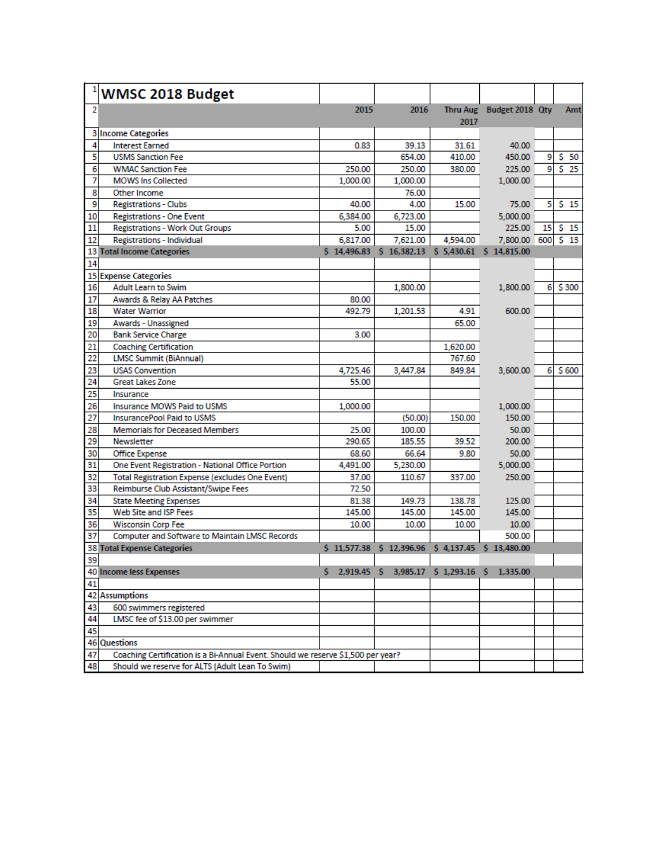|                | WMSC 2018 Budget                                                                 |          |                                                 |          |                          |    |        |
|----------------|----------------------------------------------------------------------------------|----------|-------------------------------------------------|----------|--------------------------|----|--------|
| $\overline{2}$ |                                                                                  | 2015     | 2016                                            | 2017     | Thru Aug Budget 2018 Qty |    | Amt    |
|                | 3 Income Categories                                                              |          |                                                 |          |                          |    |        |
| 4              | <b>Interest Earned</b>                                                           | 0.83     | 39.13                                           | 31.61    | 40.00                    |    |        |
| 5              | <b>USMS Sanction Fee</b>                                                         |          | 654.00                                          | 410.00   | 450.00                   | 9  | 550    |
| 6              | <b>WMAC Sanction Fee</b>                                                         | 250.00   | 250.00                                          | 380.00   | 225.00                   | 9  | $S$ 25 |
| 7              | <b>MOWS Ins Collected</b>                                                        | 1,000.00 | 1,000.00                                        |          | 1,000.00                 |    |        |
| 8              | Other Income                                                                     |          | 76.00                                           |          |                          |    |        |
| 9              | <b>Registrations - Clubs</b>                                                     | 40.00    | 4.00                                            | 15.00    | 75.00                    | 5  | 515    |
| 10             | <b>Registrations - One Event</b>                                                 | 6,384.00 | 6,723.00                                        |          | 5,000.00                 |    |        |
| 11             | <b>Registrations - Work Out Groups</b>                                           | 5.00     | 15.00                                           |          | 225.00                   | 15 | 515    |
| 12             | <b>Registrations - Individual</b>                                                | 6,817.00 | 7.621.00                                        | 4,594.00 | 7,800.00 600 \$ 13       |    |        |
|                | 13 Total Income Categories                                                       |          | \$14,496.83 \$16,382.13 \$5,430.61 \$14,815.00  |          |                          |    |        |
| 14             |                                                                                  |          |                                                 |          |                          |    |        |
|                | <b>15 Expense Categories</b>                                                     |          |                                                 |          |                          |    |        |
| 16             | <b>Adult Learn to Swim</b>                                                       |          | 1,800.00                                        |          | 1,800.00                 | 6. | \$300  |
| 17             | Awards & Relay AA Patches                                                        | 80.00    |                                                 |          |                          |    |        |
| 18             | <b>Water Warrior</b>                                                             | 492.79   | 1,201.53                                        | 4.91     | 600.00                   |    |        |
| 19             | Awards - Unassigned                                                              |          |                                                 | 65.00    |                          |    |        |
| 20             | <b>Bank Service Charge</b>                                                       | 3.00     |                                                 |          |                          |    |        |
| 21             | <b>Coaching Certification</b>                                                    |          |                                                 | 1,620.00 |                          |    |        |
| 22             | <b>LMSC Summit (BiAnnual)</b>                                                    |          |                                                 | 767.60   |                          |    |        |
| 23             | <b>USAS Convention</b>                                                           | 4,725.46 | 3,447.84                                        | 849.84   | 3,600.00                 | 6  | \$600  |
| 24             | <b>Great Lakes Zone</b>                                                          | 55.00    |                                                 |          |                          |    |        |
| 25             | Insurance                                                                        |          |                                                 |          |                          |    |        |
| 26             | <b>Insurance MOWS Paid to USMS</b>                                               | 1,000.00 |                                                 |          | 1,000.00                 |    |        |
| 27             | <b>InsurancePool Paid to USMS</b>                                                |          | (50.00)                                         | 150.00   | 150.00                   |    |        |
| 28             | <b>Memorials for Deceased Members</b>                                            | 25.00    | 100.00                                          |          | 50.00                    |    |        |
| 29             | Newsletter                                                                       | 290.65   | 185.55                                          | 39.52    | 200.00                   |    |        |
| 30             | Office Expense                                                                   | 68.60    | 66.64                                           | 9.80     | 50.00                    |    |        |
| 31             | One Event Registration - National Office Portion                                 | 4,491.00 | 5,230.00                                        |          | 5,000.00                 |    |        |
| 32             | Total Registration Expense (excludes One Event)                                  | 37.00    | 110.67                                          | 337.00   | 250.00                   |    |        |
| 33             | Reimburse Club Assistant/Swipe Fees                                              | 72.50    |                                                 |          |                          |    |        |
| 34             | <b>State Meeting Expenses</b>                                                    | 81.38    | 149.73                                          | 138.78   | 125.00                   |    |        |
| 35             | Web Site and ISP Fees                                                            | 145.00   | 145.00                                          | 145.00   | 145.00                   |    |        |
| 36             | <b>Wisconsin Corp Fee</b>                                                        | 10.00    | 10.00                                           | 10.00    | 10.00                    |    |        |
| 37             | Computer and Software to Maintain LMSC Records                                   |          |                                                 |          | 500.00                   |    |        |
|                | <b>38 Total Expense Categories</b>                                               |          | \$11,577.38 \$12,396.96                         |          | \$4,137.45 \$13,480.00   |    |        |
| 39             |                                                                                  |          |                                                 |          |                          |    |        |
|                | 40 Income less Expenses                                                          |          | \$ 2,919.45 \$ 3,985.17 \$ 1,293.16 \$ 1,335.00 |          |                          |    |        |
| 41             |                                                                                  |          |                                                 |          |                          |    |        |
|                | <b>42 Assumptions</b>                                                            |          |                                                 |          |                          |    |        |
| 43             | 600 swimmers registered                                                          |          |                                                 |          |                          |    |        |
| 44             | LMSC fee of \$13.00 per swimmer                                                  |          |                                                 |          |                          |    |        |
| 45             |                                                                                  |          |                                                 |          |                          |    |        |
|                | 46 Questions                                                                     |          |                                                 |          |                          |    |        |
| 47             | Coaching Certification is a Bi-Annual Event. Should we reserve \$1,500 per year? |          |                                                 |          |                          |    |        |
| 48             | Should we reserve for ALTS (Adult Lean To Swim)                                  |          |                                                 |          |                          |    |        |